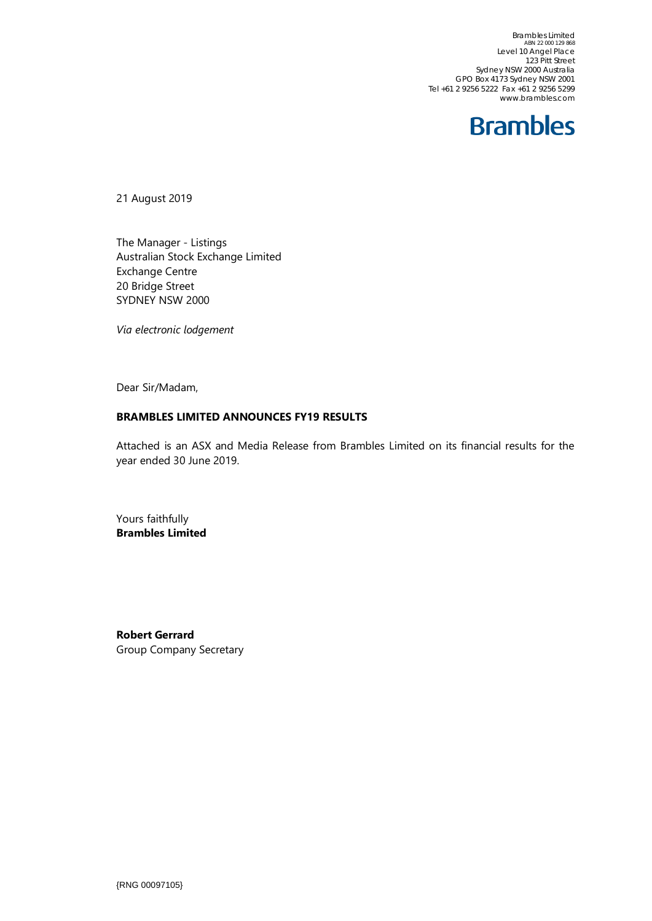Brambles Limited ABN 22 000 129 868 Level 10 Angel Place 123 Pitt Street Sydney NSW 2000 Australia GPO Box 4173 Sydney NSW 2001 Tel +61 2 9256 5222 Fax +61 2 9256 5299 www.brambles.com

### **Brambles**

21 August 2019

The Manager - Listings Australian Stock Exchange Limited Exchange Centre 20 Bridge Street SYDNEY NSW 2000

*Via electronic lodgement*

Dear Sir/Madam,

#### **BRAMBLES LIMITED ANNOUNCES FY19 RESULTS**

Attached is an ASX and Media Release from Brambles Limited on its financial results for the year ended 30 June 2019.

Yours faithfully **Brambles Limited**

**Robert Gerrard** Group Company Secretary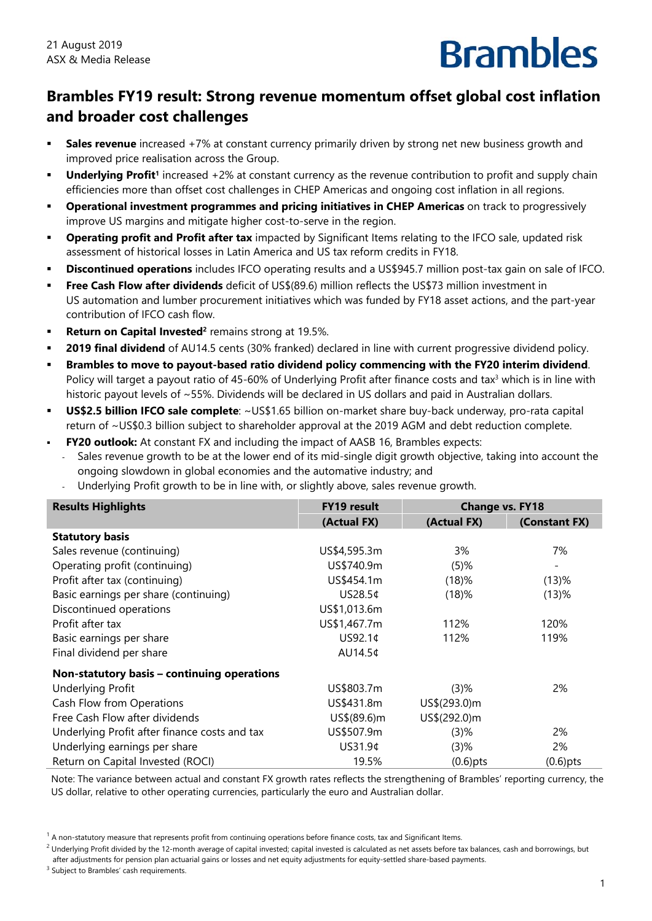### **Brambles FY19 result: Strong revenue momentum offset global cost inflation and broader cost challenges**

- **Sales revenue** increased +7% at constant currency primarily driven by strong net new business growth and improved price realisation across the Group.
- **Underlying Profit<sup>1</sup>** increased +2% at constant currency as the revenue contribution to profit and supply chain efficiencies more than offset cost challenges in CHEP Americas and ongoing cost inflation in all regions.
- **Operational investment programmes and pricing initiatives in CHEP Americas** on track to progressively improve US margins and mitigate higher cost-to-serve in the region.
- **Dperating profit and Profit after tax** impacted by Significant Items relating to the IFCO sale, updated risk assessment of historical losses in Latin America and US tax reform credits in FY18.
- **Discontinued operations** includes IFCO operating results and a US\$945.7 million post-tax gain on sale of IFCO.
- **Free Cash Flow after dividends** deficit of US\$(89.6) million reflects the US\$73 million investment in US automation and lumber procurement initiatives which was funded by FY18 asset actions, and the part-year contribution of IFCO cash flow.
- **Return on Capital Invested<sup>2</sup> remains strong at 19.5%.**
- **2019 final dividend** of AU14.5 cents (30% franked) declared in line with current progressive dividend policy.
- **Brambles to move to payout-based ratio dividend policy commencing with the FY20 interim dividend**. Policy will target a payout ratio of 45-60% of Underlying Profit after finance costs and tax<sup>3</sup> which is in line with historic payout levels of ~55%. Dividends will be declared in US dollars and paid in Australian dollars.
- **US\$2.5 billion IFCO sale complete**: ~US\$1.65 billion on-market share buy-back underway, pro-rata capital return of ~US\$0.3 billion subject to shareholder approval at the 2019 AGM and debt reduction complete.
- **FY20 outlook:** At constant FX and including the impact of AASB 16, Brambles expects:
	- ‐ Sales revenue growth to be at the lower end of its mid-single digit growth objective, taking into account the ongoing slowdown in global economies and the automative industry; and
	- ‐ Underlying Profit growth to be in line with, or slightly above, sales revenue growth.

| <b>Results Highlights</b>                     | <b>FY19 result</b> | <b>Change vs. FY18</b> |               |  |
|-----------------------------------------------|--------------------|------------------------|---------------|--|
|                                               | (Actual FX)        | (Actual FX)            | (Constant FX) |  |
| <b>Statutory basis</b>                        |                    |                        |               |  |
| Sales revenue (continuing)                    | US\$4,595.3m       | 3%                     | 7%            |  |
| Operating profit (continuing)                 | US\$740.9m         | $(5)$ %                | -             |  |
| Profit after tax (continuing)                 | US\$454.1m         | (18)%                  | $(13)$ %      |  |
| Basic earnings per share (continuing)         | US28.5¢            | (18)%                  | (13)%         |  |
| Discontinued operations                       | US\$1,013.6m       |                        |               |  |
| Profit after tax                              | US\$1,467.7m       | 112%                   | 120%          |  |
| Basic earnings per share                      | US92.1¢            | 112%                   | 119%          |  |
| Final dividend per share                      | AU14.5¢            |                        |               |  |
| Non-statutory basis - continuing operations   |                    |                        |               |  |
| <b>Underlying Profit</b>                      | US\$803.7m         | $(3)$ %                | 2%            |  |
| Cash Flow from Operations                     | US\$431.8m         | US\$(293.0)m           |               |  |
| Free Cash Flow after dividends                | US\$(89.6)m        | US\$(292.0)m           |               |  |
| Underlying Profit after finance costs and tax | US\$507.9m         | $(3)$ %                | 2%            |  |
| Underlying earnings per share                 | US31.9¢            | $(3)$ %                | 2%            |  |
| Return on Capital Invested (ROCI)             | 19.5%              | $(0.6)$ pts            | $(0.6)$ pts   |  |

Note: The variance between actual and constant FX growth rates reflects the strengthening of Brambles' reporting currency, the US dollar, relative to other operating currencies, particularly the euro and Australian dollar.

<sup>3</sup> Subject to Brambles' cash requirements.

 $1$  A non-statutory measure that represents profit from continuing operations before finance costs, tax and Significant Items.

 $^2$  Underlying Profit divided by the 12-month average of capital invested; capital invested is calculated as net assets before tax balances, cash and borrowings, but after adjustments for pension plan actuarial gains or losses and net equity adjustments for equity-settled share-based payments.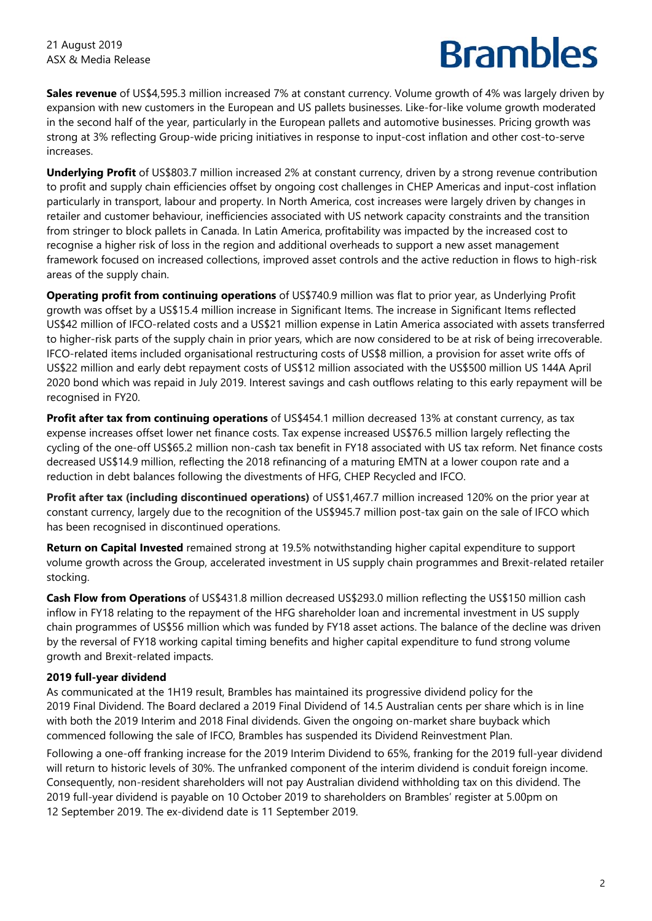**Sales revenue** of US\$4,595.3 million increased 7% at constant currency. Volume growth of 4% was largely driven by expansion with new customers in the European and US pallets businesses. Like-for-like volume growth moderated in the second half of the year, particularly in the European pallets and automotive businesses. Pricing growth was strong at 3% reflecting Group-wide pricing initiatives in response to input-cost inflation and other cost-to-serve increases.

**Underlying Profit** of US\$803.7 million increased 2% at constant currency, driven by a strong revenue contribution to profit and supply chain efficiencies offset by ongoing cost challenges in CHEP Americas and input-cost inflation particularly in transport, labour and property. In North America, cost increases were largely driven by changes in retailer and customer behaviour, inefficiencies associated with US network capacity constraints and the transition from stringer to block pallets in Canada. In Latin America, profitability was impacted by the increased cost to recognise a higher risk of loss in the region and additional overheads to support a new asset management framework focused on increased collections, improved asset controls and the active reduction in flows to high-risk areas of the supply chain.

**Operating profit from continuing operations** of US\$740.9 million was flat to prior year, as Underlying Profit growth was offset by a US\$15.4 million increase in Significant Items. The increase in Significant Items reflected US\$42 million of IFCO-related costs and a US\$21 million expense in Latin America associated with assets transferred to higher-risk parts of the supply chain in prior years, which are now considered to be at risk of being irrecoverable. IFCO-related items included organisational restructuring costs of US\$8 million, a provision for asset write offs of US\$22 million and early debt repayment costs of US\$12 million associated with the US\$500 million US 144A April 2020 bond which was repaid in July 2019. Interest savings and cash outflows relating to this early repayment will be recognised in FY20.

**Profit after tax from continuing operations** of US\$454.1 million decreased 13% at constant currency, as tax expense increases offset lower net finance costs. Tax expense increased US\$76.5 million largely reflecting the cycling of the one-off US\$65.2 million non-cash tax benefit in FY18 associated with US tax reform. Net finance costs decreased US\$14.9 million, reflecting the 2018 refinancing of a maturing EMTN at a lower coupon rate and a reduction in debt balances following the divestments of HFG, CHEP Recycled and IFCO.

**Profit after tax (including discontinued operations)** of US\$1,467.7 million increased 120% on the prior year at constant currency, largely due to the recognition of the US\$945.7 million post-tax gain on the sale of IFCO which has been recognised in discontinued operations.

**Return on Capital Invested** remained strong at 19.5% notwithstanding higher capital expenditure to support volume growth across the Group, accelerated investment in US supply chain programmes and Brexit-related retailer stocking.

**Cash Flow from Operations** of US\$431.8 million decreased US\$293.0 million reflecting the US\$150 million cash inflow in FY18 relating to the repayment of the HFG shareholder loan and incremental investment in US supply chain programmes of US\$56 million which was funded by FY18 asset actions. The balance of the decline was driven by the reversal of FY18 working capital timing benefits and higher capital expenditure to fund strong volume growth and Brexit-related impacts.

### **2019 full-year dividend**

As communicated at the 1H19 result, Brambles has maintained its progressive dividend policy for the 2019 Final Dividend. The Board declared a 2019 Final Dividend of 14.5 Australian cents per share which is in line with both the 2019 Interim and 2018 Final dividends. Given the ongoing on-market share buyback which commenced following the sale of IFCO, Brambles has suspended its Dividend Reinvestment Plan.

Following a one-off franking increase for the 2019 Interim Dividend to 65%, franking for the 2019 full-year dividend will return to historic levels of 30%. The unfranked component of the interim dividend is conduit foreign income. Consequently, non-resident shareholders will not pay Australian dividend withholding tax on this dividend. The 2019 full-year dividend is payable on 10 October 2019 to shareholders on Brambles' register at 5.00pm on 12 September 2019. The ex-dividend date is 11 September 2019.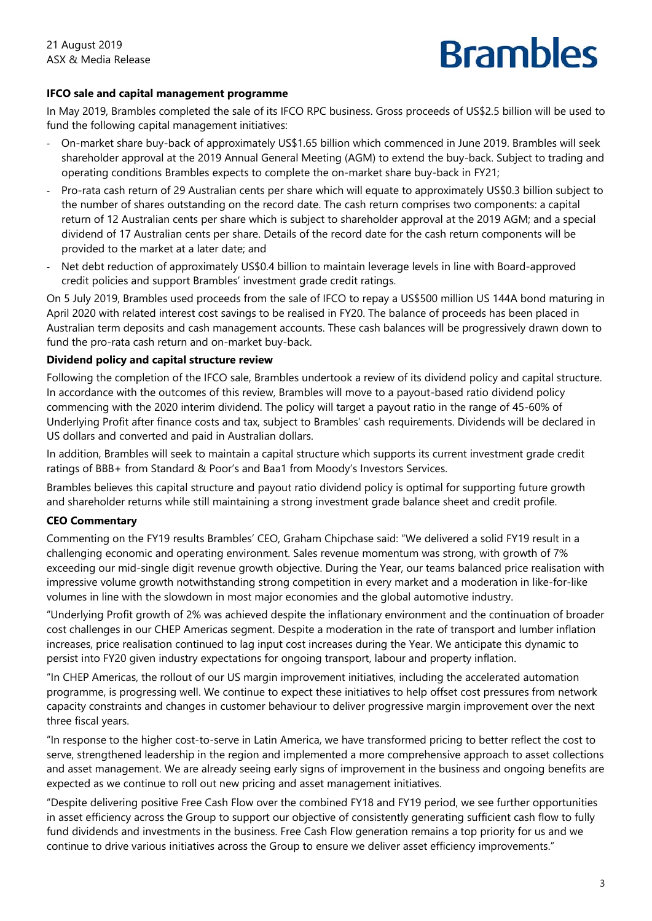### **IFCO sale and capital management programme**

In May 2019, Brambles completed the sale of its IFCO RPC business. Gross proceeds of US\$2.5 billion will be used to fund the following capital management initiatives:

- ‐ On-market share buy-back of approximately US\$1.65 billion which commenced in June 2019. Brambles will seek shareholder approval at the 2019 Annual General Meeting (AGM) to extend the buy-back. Subject to trading and operating conditions Brambles expects to complete the on-market share buy-back in FY21;
- ‐ Pro-rata cash return of 29 Australian cents per share which will equate to approximately US\$0.3 billion subject to the number of shares outstanding on the record date. The cash return comprises two components: a capital return of 12 Australian cents per share which is subject to shareholder approval at the 2019 AGM; and a special dividend of 17 Australian cents per share. Details of the record date for the cash return components will be provided to the market at a later date; and
- Net debt reduction of approximately US\$0.4 billion to maintain leverage levels in line with Board-approved credit policies and support Brambles' investment grade credit ratings.

On 5 July 2019, Brambles used proceeds from the sale of IFCO to repay a US\$500 million US 144A bond maturing in April 2020 with related interest cost savings to be realised in FY20. The balance of proceeds has been placed in Australian term deposits and cash management accounts. These cash balances will be progressively drawn down to fund the pro-rata cash return and on-market buy-back.

#### **Dividend policy and capital structure review**

Following the completion of the IFCO sale, Brambles undertook a review of its dividend policy and capital structure. In accordance with the outcomes of this review, Brambles will move to a payout-based ratio dividend policy commencing with the 2020 interim dividend. The policy will target a payout ratio in the range of 45-60% of Underlying Profit after finance costs and tax, subject to Brambles' cash requirements. Dividends will be declared in US dollars and converted and paid in Australian dollars.

In addition, Brambles will seek to maintain a capital structure which supports its current investment grade credit ratings of BBB+ from Standard & Poor's and Baa1 from Moody's Investors Services.

Brambles believes this capital structure and payout ratio dividend policy is optimal for supporting future growth and shareholder returns while still maintaining a strong investment grade balance sheet and credit profile.

### **CEO Commentary**

Commenting on the FY19 results Brambles' CEO, Graham Chipchase said: "We delivered a solid FY19 result in a challenging economic and operating environment. Sales revenue momentum was strong, with growth of 7% exceeding our mid-single digit revenue growth objective. During the Year, our teams balanced price realisation with impressive volume growth notwithstanding strong competition in every market and a moderation in like-for-like volumes in line with the slowdown in most major economies and the global automotive industry.

"Underlying Profit growth of 2% was achieved despite the inflationary environment and the continuation of broader cost challenges in our CHEP Americas segment. Despite a moderation in the rate of transport and lumber inflation increases, price realisation continued to lag input cost increases during the Year. We anticipate this dynamic to persist into FY20 given industry expectations for ongoing transport, labour and property inflation.

"In CHEP Americas, the rollout of our US margin improvement initiatives, including the accelerated automation programme, is progressing well. We continue to expect these initiatives to help offset cost pressures from network capacity constraints and changes in customer behaviour to deliver progressive margin improvement over the next three fiscal years.

"In response to the higher cost-to-serve in Latin America, we have transformed pricing to better reflect the cost to serve, strengthened leadership in the region and implemented a more comprehensive approach to asset collections and asset management. We are already seeing early signs of improvement in the business and ongoing benefits are expected as we continue to roll out new pricing and asset management initiatives.

"Despite delivering positive Free Cash Flow over the combined FY18 and FY19 period, we see further opportunities in asset efficiency across the Group to support our objective of consistently generating sufficient cash flow to fully fund dividends and investments in the business. Free Cash Flow generation remains a top priority for us and we continue to drive various initiatives across the Group to ensure we deliver asset efficiency improvements."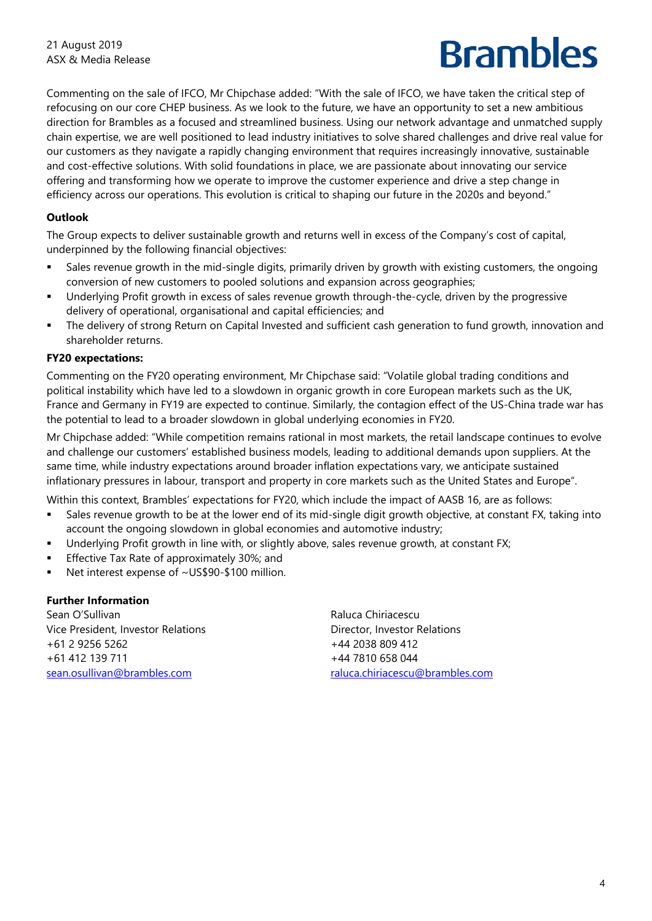Commenting on the sale of IFCO, Mr Chipchase added: "With the sale of IFCO, we have taken the critical step of refocusing on our core CHEP business. As we look to the future, we have an opportunity to set a new ambitious direction for Brambles as a focused and streamlined business. Using our network advantage and unmatched supply chain expertise, we are well positioned to lead industry initiatives to solve shared challenges and drive real value for our customers as they navigate a rapidly changing environment that requires increasingly innovative, sustainable and cost-effective solutions. With solid foundations in place, we are passionate about innovating our service offering and transforming how we operate to improve the customer experience and drive a step change in efficiency across our operations. This evolution is critical to shaping our future in the 2020s and beyond."

### **Outlook**

The Group expects to deliver sustainable growth and returns well in excess of the Company's cost of capital, underpinned by the following financial objectives:

- Sales revenue growth in the mid-single digits, primarily driven by growth with existing customers, the ongoing conversion of new customers to pooled solutions and expansion across geographies;
- Underlying Profit growth in excess of sales revenue growth through-the-cycle, driven by the progressive delivery of operational, organisational and capital efficiencies; and
- The delivery of strong Return on Capital Invested and sufficient cash generation to fund growth, innovation and shareholder returns.

#### **FY20 expectations:**

Commenting on the FY20 operating environment, Mr Chipchase said: "Volatile global trading conditions and political instability which have led to a slowdown in organic growth in core European markets such as the UK, France and Germany in FY19 are expected to continue. Similarly, the contagion effect of the US-China trade war has the potential to lead to a broader slowdown in global underlying economies in FY20.

Mr Chipchase added: "While competition remains rational in most markets, the retail landscape continues to evolve and challenge our customers' established business models, leading to additional demands upon suppliers. At the same time, while industry expectations around broader inflation expectations vary, we anticipate sustained inflationary pressures in labour, transport and property in core markets such as the United States and Europe".

Within this context, Brambles' expectations for FY20, which include the impact of AASB 16, are as follows:

- Sales revenue growth to be at the lower end of its mid-single digit growth objective, at constant FX, taking into account the ongoing slowdown in global economies and automotive industry;
- Underlying Profit growth in line with, or slightly above, sales revenue growth, at constant FX;
- **Effective Tax Rate of approximately 30%; and**
- Net interest expense of ~US\$90-\$100 million.

#### **Further Information**

Sean O'Sullivan Vice President, Investor Relations +61 2 9256 5262 +61 412 139 711 sean.osullivan@brambles.com

Raluca Chiriacescu Director, Investor Relations +44 2038 809 412 +44 7810 658 044 raluca.chiriacescu@brambles.com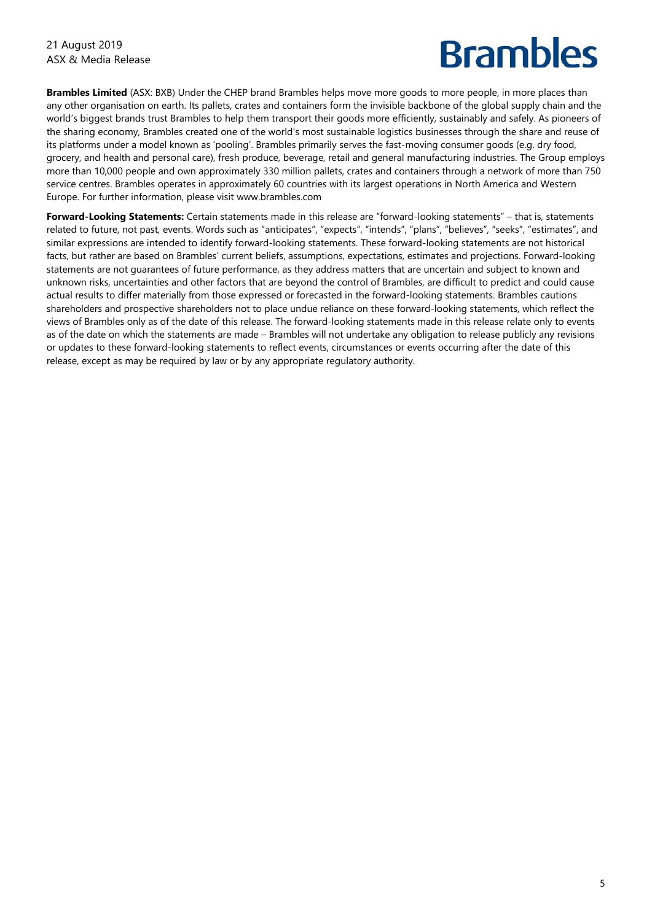**Brambles Limited** (ASX: BXB) Under the CHEP brand Brambles helps move more goods to more people, in more places than any other organisation on earth. Its pallets, crates and containers form the invisible backbone of the global supply chain and the world's biggest brands trust Brambles to help them transport their goods more efficiently, sustainably and safely. As pioneers of the sharing economy, Brambles created one of the world's most sustainable logistics businesses through the share and reuse of its platforms under a model known as 'pooling'. Brambles primarily serves the fast-moving consumer goods (e.g. dry food, grocery, and health and personal care), fresh produce, beverage, retail and general manufacturing industries. The Group employs more than 10,000 people and own approximately 330 million pallets, crates and containers through a network of more than 750 service centres. Brambles operates in approximately 60 countries with its largest operations in North America and Western Europe. For further information, please visit www.brambles.com

**Forward-Looking Statements:** Certain statements made in this release are "forward-looking statements" – that is, statements related to future, not past, events. Words such as "anticipates", "expects", "intends", "plans", "believes", "seeks", "estimates", and similar expressions are intended to identify forward-looking statements. These forward-looking statements are not historical facts, but rather are based on Brambles' current beliefs, assumptions, expectations, estimates and projections. Forward-looking statements are not guarantees of future performance, as they address matters that are uncertain and subject to known and unknown risks, uncertainties and other factors that are beyond the control of Brambles, are difficult to predict and could cause actual results to differ materially from those expressed or forecasted in the forward-looking statements. Brambles cautions shareholders and prospective shareholders not to place undue reliance on these forward-looking statements, which reflect the views of Brambles only as of the date of this release. The forward-looking statements made in this release relate only to events as of the date on which the statements are made – Brambles will not undertake any obligation to release publicly any revisions or updates to these forward-looking statements to reflect events, circumstances or events occurring after the date of this release, except as may be required by law or by any appropriate regulatory authority.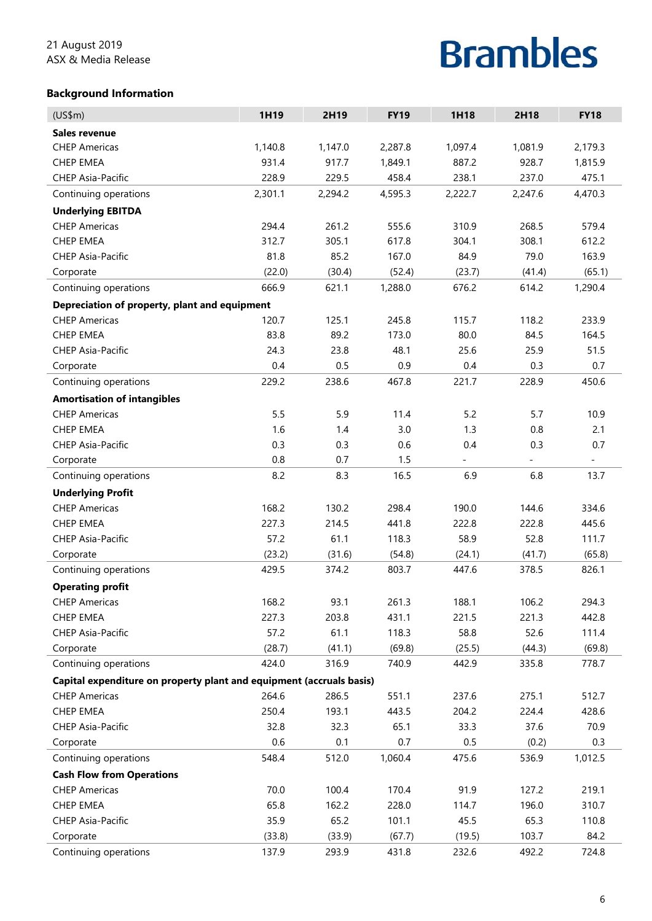#### **Background Information**

| (US\$m)                                                               | 1H19    | 2H19    | <b>FY19</b> | 1H18                     | 2H18    | <b>FY18</b>              |  |  |
|-----------------------------------------------------------------------|---------|---------|-------------|--------------------------|---------|--------------------------|--|--|
| <b>Sales revenue</b>                                                  |         |         |             |                          |         |                          |  |  |
| <b>CHEP Americas</b>                                                  | 1,140.8 | 1,147.0 | 2,287.8     | 1,097.4                  | 1,081.9 | 2,179.3                  |  |  |
| <b>CHEP EMEA</b>                                                      | 931.4   | 917.7   | 1,849.1     | 887.2                    | 928.7   | 1,815.9                  |  |  |
| <b>CHEP Asia-Pacific</b>                                              | 228.9   | 229.5   | 458.4       | 238.1                    | 237.0   | 475.1                    |  |  |
| Continuing operations                                                 | 2,301.1 | 2,294.2 | 4,595.3     | 2,222.7                  | 2,247.6 | 4,470.3                  |  |  |
| <b>Underlying EBITDA</b>                                              |         |         |             |                          |         |                          |  |  |
| <b>CHEP Americas</b>                                                  | 294.4   | 261.2   | 555.6       | 310.9                    | 268.5   | 579.4                    |  |  |
| <b>CHEP EMEA</b>                                                      | 312.7   | 305.1   | 617.8       | 304.1                    | 308.1   | 612.2                    |  |  |
| <b>CHEP Asia-Pacific</b>                                              | 81.8    | 85.2    | 167.0       | 84.9                     | 79.0    | 163.9                    |  |  |
| Corporate                                                             | (22.0)  | (30.4)  | (52.4)      | (23.7)                   | (41.4)  | (65.1)                   |  |  |
| Continuing operations                                                 | 666.9   | 621.1   | 1,288.0     | 676.2                    | 614.2   | 1,290.4                  |  |  |
|                                                                       |         |         |             |                          |         |                          |  |  |
| Depreciation of property, plant and equipment<br><b>CHEP Americas</b> | 120.7   | 125.1   | 245.8       | 115.7                    | 118.2   | 233.9                    |  |  |
| <b>CHEP EMEA</b>                                                      | 83.8    | 89.2    | 173.0       | 80.0                     | 84.5    | 164.5                    |  |  |
|                                                                       | 24.3    |         | 48.1        |                          |         |                          |  |  |
| <b>CHEP Asia-Pacific</b>                                              |         | 23.8    |             | 25.6                     | 25.9    | 51.5                     |  |  |
| Corporate                                                             | 0.4     | 0.5     | 0.9         | 0.4                      | 0.3     | 0.7                      |  |  |
| Continuing operations                                                 | 229.2   | 238.6   | 467.8       | 221.7                    | 228.9   | 450.6                    |  |  |
| <b>Amortisation of intangibles</b>                                    |         |         |             |                          |         |                          |  |  |
| <b>CHEP Americas</b>                                                  | 5.5     | 5.9     | 11.4        | 5.2                      | 5.7     | 10.9                     |  |  |
| <b>CHEP EMEA</b>                                                      | 1.6     | 1.4     | 3.0         | 1.3                      | 0.8     | 2.1                      |  |  |
| <b>CHEP Asia-Pacific</b>                                              | 0.3     | 0.3     | 0.6         | 0.4                      | 0.3     | 0.7                      |  |  |
| Corporate                                                             | 0.8     | 0.7     | 1.5         | $\overline{\phantom{a}}$ |         | $\overline{\phantom{a}}$ |  |  |
| Continuing operations                                                 | 8.2     | 8.3     | 16.5        | 6.9                      | 6.8     | 13.7                     |  |  |
| <b>Underlying Profit</b>                                              |         |         |             |                          |         |                          |  |  |
| <b>CHEP Americas</b>                                                  | 168.2   | 130.2   | 298.4       | 190.0                    | 144.6   | 334.6                    |  |  |
| <b>CHEP EMEA</b>                                                      | 227.3   | 214.5   | 441.8       | 222.8                    | 222.8   | 445.6                    |  |  |
| <b>CHEP Asia-Pacific</b>                                              | 57.2    | 61.1    | 118.3       | 58.9                     | 52.8    | 111.7                    |  |  |
| Corporate                                                             | (23.2)  | (31.6)  | (54.8)      | (24.1)                   | (41.7)  | (65.8)                   |  |  |
| Continuing operations                                                 | 429.5   | 374.2   | 803.7       | 447.6                    | 378.5   | 826.1                    |  |  |
| <b>Operating profit</b>                                               |         |         |             |                          |         |                          |  |  |
| <b>CHEP Americas</b>                                                  | 168.2   | 93.1    | 261.3       | 188.1                    | 106.2   | 294.3                    |  |  |
| CHEP EMEA                                                             | 227.3   | 203.8   | 431.1       | 221.5                    | 221.3   | 442.8                    |  |  |
| CHEP Asia-Pacific                                                     | 57.2    | 61.1    | 118.3       | 58.8                     | 52.6    | 111.4                    |  |  |
| Corporate                                                             | (28.7)  | (41.1)  | (69.8)      | (25.5)                   | (44.3)  | (69.8)                   |  |  |
| Continuing operations                                                 | 424.0   | 316.9   | 740.9       | 442.9                    | 335.8   | 778.7                    |  |  |
| Capital expenditure on property plant and equipment (accruals basis)  |         |         |             |                          |         |                          |  |  |
| <b>CHEP Americas</b>                                                  | 264.6   | 286.5   | 551.1       | 237.6                    | 275.1   | 512.7                    |  |  |
| CHEP EMEA                                                             | 250.4   | 193.1   | 443.5       | 204.2                    | 224.4   | 428.6                    |  |  |
| CHEP Asia-Pacific                                                     | 32.8    | 32.3    | 65.1        | 33.3                     | 37.6    | 70.9                     |  |  |
| Corporate                                                             | 0.6     | 0.1     | 0.7         | 0.5                      | (0.2)   | 0.3                      |  |  |
| Continuing operations                                                 | 548.4   | 512.0   | 1,060.4     | 475.6                    | 536.9   | 1,012.5                  |  |  |
| <b>Cash Flow from Operations</b>                                      |         |         |             |                          |         |                          |  |  |
| <b>CHEP Americas</b>                                                  | 70.0    | 100.4   | 170.4       | 91.9                     | 127.2   | 219.1                    |  |  |
| CHEP EMEA                                                             | 65.8    | 162.2   | 228.0       | 114.7                    | 196.0   | 310.7                    |  |  |
| CHEP Asia-Pacific                                                     | 35.9    | 65.2    | 101.1       | 45.5                     | 65.3    | 110.8                    |  |  |
| Corporate                                                             | (33.8)  | (33.9)  | (67.7)      | (19.5)                   | 103.7   | 84.2                     |  |  |
| Continuing operations                                                 | 137.9   | 293.9   | 431.8       | 232.6                    | 492.2   | 724.8                    |  |  |